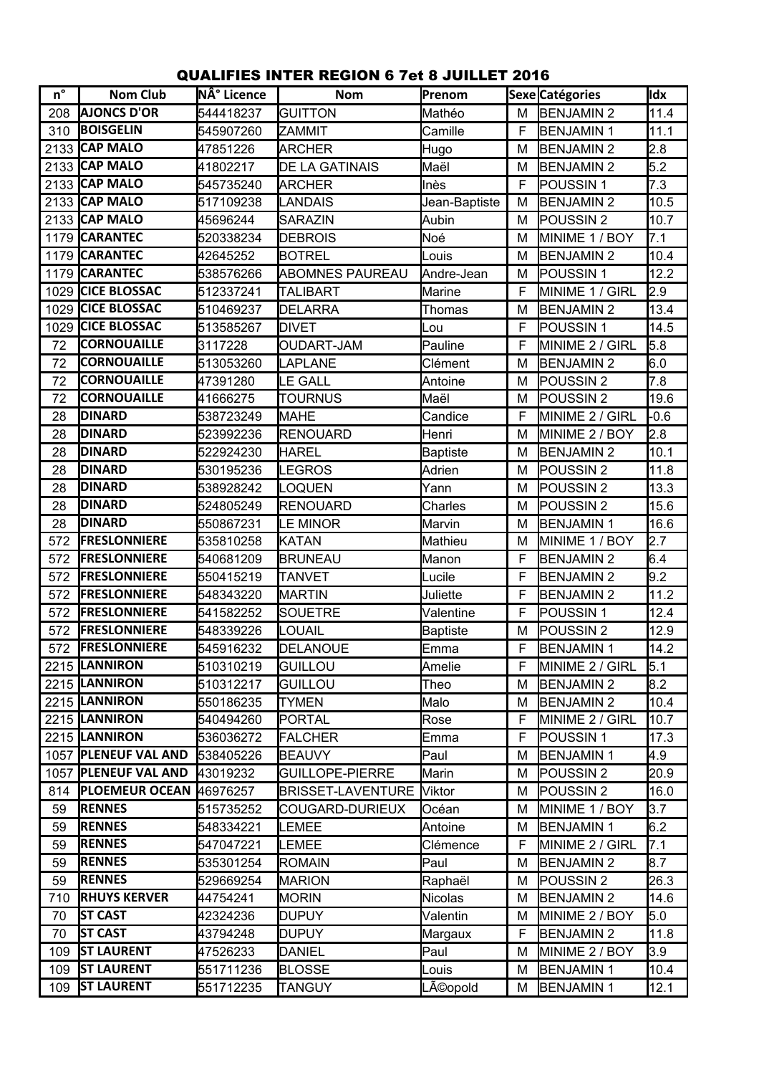## QUALIFIES INTER REGION 6 7et 8 JUILLET 2016

| $n^{\circ}$ | <b>Nom Club</b>         | N° Licence | <b>Nom</b>               | Prenom        |             | Sexe Catégories      | Idx    |
|-------------|-------------------------|------------|--------------------------|---------------|-------------|----------------------|--------|
| 208         | <b>AJONCS D'OR</b>      | 544418237  | <b>GUITTON</b>           | Mathéo        | M           | <b>BENJAMIN2</b>     | 11.4   |
| 310         | <b>BOISGELIN</b>        | 545907260  | ZAMMIT                   | Camille       | F           | <b>BENJAMIN1</b>     | 11.1   |
| 2133        | <b>CAP MALO</b>         | 47851226   | ARCHER                   | Hugo          | M           | <b>BENJAMIN2</b>     | 2.8    |
| 2133        | <b>CAP MALO</b>         | 41802217   | <b>DE LA GATINAIS</b>    | Maël          | M           | <b>BENJAMIN2</b>     | 5.2    |
| 2133        | <b>CAP MALO</b>         | 545735240  | ARCHER                   | Inès          | F           | POUSSIN <sub>1</sub> | 7.3    |
|             | 2133 CAP MALO           | 517109238  | LANDAIS                  | Jean-Baptiste | M           | <b>BENJAMIN2</b>     | 10.5   |
|             | 2133 CAP MALO           | 45696244   | SARAZIN                  | Aubin         | M           | POUSSIN <sub>2</sub> | 10.7   |
| 1179        | <b>CARANTEC</b>         | 520338234  | <b>DEBROIS</b>           | Noé           | M           | MINIME 1 / BOY       | 7.1    |
| 1179        | <b>CARANTEC</b>         | 42645252   | <b>BOTREL</b>            | Louis         | M           | <b>BENJAMIN2</b>     | 10.4   |
| 1179        | <b>CARANTEC</b>         | 538576266  | <b>ABOMNES PAUREAU</b>   | Andre-Jean    | M           | POUSSIN 1            | 12.2   |
| 1029        | <b>CICE BLOSSAC</b>     | 512337241  | <b>TALIBART</b>          | Marine        | F           | MINIME 1 / GIRL      | 2.9    |
| 1029        | <b>CICE BLOSSAC</b>     | 510469237  | <b>DELARRA</b>           | Thomas        | M           | <b>BENJAMIN2</b>     | 13.4   |
| 1029        | <b>CICE BLOSSAC</b>     | 513585267  | <b>DIVET</b>             | Lou           | F           | POUSSIN <sub>1</sub> | 14.5   |
| 72          | <b>CORNOUAILLE</b>      | 3117228    | <b>OUDART-JAM</b>        | Pauline       | F           | MINIME 2 / GIRL      | 5.8    |
| 72          | <b>CORNOUAILLE</b>      | 513053260  | LAPLANE                  | Clément       | M           | <b>BENJAMIN2</b>     | 6.0    |
| 72          | <b>CORNOUAILLE</b>      | 47391280   | LE GALL                  | Antoine       | M           | POUSSIN <sub>2</sub> | 7.8    |
| 72          | <b>CORNOUAILLE</b>      | 41666275   | <b>TOURNUS</b>           | Maël          | M           | POUSSIN <sub>2</sub> | 19.6   |
| 28          | <b>DINARD</b>           | 538723249  | <b>MAHE</b>              | Candice       | F           | MINIME 2 / GIRL      | $-0.6$ |
| 28          | <b>DINARD</b>           | 523992236  | <b>RENOUARD</b>          | Henri         | M           | MINIME 2 / BOY       | 2.8    |
| 28          | <b>DINARD</b>           | 522924230  | <b>HAREL</b>             | Baptiste      | M           | <b>BENJAMIN2</b>     | 10.1   |
| 28          | <b>DINARD</b>           | 530195236  | LEGROS                   | Adrien        | M           | POUSSIN <sub>2</sub> | 11.8   |
| 28          | <b>DINARD</b>           | 538928242  | <b>OQUEN</b>             | Yann          | M           | POUSSIN <sub>2</sub> | 13.3   |
| 28          | <b>DINARD</b>           | 524805249  | <b>RENOUARD</b>          | Charles       | M           | POUSSIN <sub>2</sub> | 15.6   |
| 28          | <b>DINARD</b>           | 550867231  | LE MINOR                 | Marvin        | M           | <b>BENJAMIN1</b>     | 16.6   |
| 572         | <b>FRESLONNIERE</b>     | 535810258  | KATAN                    | Mathieu       | M           | MINIME 1 / BOY       | 2.7    |
| 572         | <b>FRESLONNIERE</b>     | 540681209  | <b>BRUNEAU</b>           | Manon         | F           | <b>BENJAMIN2</b>     | 6.4    |
| 572         | <b>FRESLONNIERE</b>     | 550415219  | <b>TANVET</b>            | Lucile        | F           | <b>BENJAMIN2</b>     | 9.2    |
| 572         | <b>FRESLONNIERE</b>     | 548343220  | <b>MARTIN</b>            | Juliette      | F           | <b>BENJAMIN2</b>     | 11.2   |
| 572         | <b>FRESLONNIERE</b>     | 541582252  | <b>SOUETRE</b>           | Valentine     | F           | POUSSIN <sub>1</sub> | 12.4   |
| 572         | <b>FRESLONNIERE</b>     | 548339226  | <b>OUAIL</b>             | Baptiste      | M           | POUSSIN <sub>2</sub> | 12.9   |
| 572         | <b>FRESLONNIERE</b>     | 545916232  | DELANOUE                 | <b>Emma</b>   | F           | <b>BENJAMIN1</b>     | 14.2   |
|             | 2215 LANNIRON           | 510310219  | <b>GUILLOU</b>           | Amelie        | F           | MINIME 2 / GIRL      | 5.1    |
|             | 2215 LANNIRON           | 510312217  | <b>GUILLOU</b>           | Theo          | М           | <b>BENJAMIN2</b>     | 8.2    |
|             | 2215 LANNIRON           | 550186235  | TYMEN                    | Malo          | M           | <b>BENJAMIN2</b>     | 10.4   |
|             | 2215 LANNIRON           | 540494260  | PORTAL                   | Rose          | F           | MINIME 2 / GIRL      | 10.7   |
|             | 2215  LANNIRON          | 536036272  | <b>FALCHER</b>           | Emma          | F           | POUSSIN <sub>1</sub> | 17.3   |
|             | 1057  PLENEUF VAL AND   | 538405226  | <b>BEAUVY</b>            | Paul          | M           | <b>BENJAMIN1</b>     | 4.9    |
| 1057        | <b>PLENEUF VAL AND</b>  | 43019232   | <b>GUILLOPE-PIERRE</b>   | Marin         | M           | POUSSIN <sub>2</sub> | 20.9   |
| 814         | PLOEMEUR OCEAN 46976257 |            | <b>BRISSET-LAVENTURE</b> | Viktor        | M           | POUSSIN <sub>2</sub> | 16.0   |
| 59          | <b>RENNES</b>           | 515735252  | COUGARD-DURIEUX          | Océan         | M           | MINIME 1 / BOY       | 3.7    |
| 59          | <b>RENNES</b>           | 548334221  | LEMEE                    | Antoine       | М           | <b>BENJAMIN1</b>     | 6.2    |
| 59          | <b>RENNES</b>           | 547047221  | LEMEE                    | Clémence      | $\mathsf F$ | MINIME 2 / GIRL      | 7.1    |
| 59          | <b>RENNES</b>           | 535301254  | <b>ROMAIN</b>            | Paul          | M           | <b>BENJAMIN2</b>     | 8.7    |
| 59          | <b>RENNES</b>           | 529669254  | <b>MARION</b>            | Raphaël       | М           | POUSSIN <sub>2</sub> | 26.3   |
| 710         | <b>RHUYS KERVER</b>     | 44754241   | <b>MORIN</b>             | Nicolas       | M           | <b>BENJAMIN2</b>     | 14.6   |
| 70          | <b>ST CAST</b>          | 42324236   | <b>DUPUY</b>             | Valentin      | M           | MINIME 2 / BOY       | 5.0    |
| 70          | <b>ST CAST</b>          | 43794248   | <b>DUPUY</b>             | Margaux       | F           | <b>BENJAMIN2</b>     | 11.8   |
| 109         | <b>ST LAURENT</b>       | 47526233   | <b>DANIEL</b>            | Paul          | М           | MINIME 2 / BOY       | 3.9    |
| 109         | <b>ST LAURENT</b>       | 551711236  | <b>BLOSSE</b>            | Louis         | M           | <b>BENJAMIN1</b>     | 10.4   |
| 109         | <b>ST LAURENT</b>       | 551712235  | TANGUY                   | Léopold       | М           | <b>BENJAMIN1</b>     | 12.1   |